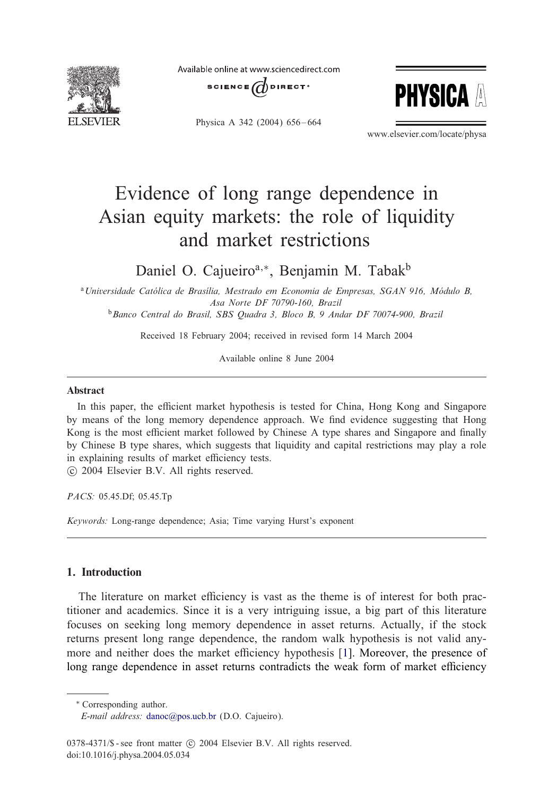

Available online at www.sciencedirect.com



Physica A 342 (2004) 656-664



www.elsevier.com/locate/physa

# Evidence of long range dependence in Asian equity markets: the role of liquidity and market restrictions

Daniel O. Cajueiro<sup>a,∗</sup>, Benjamin M. Tabak<sup>b</sup>

<sup>a</sup> Universidade Católica de Brasília, Mestrado em Economia de Empresas, SGAN 916, Módulo B, *Asa Norte DF70790-160, Brazil* <sup>b</sup>*Banco Central do Brasil, SBS Quadra 3, Bloco B, 9 Andar DF70074-900, Brazil*

Received 18 February 2004; received in revised form 14 March 2004

Available online 8 June 2004

### Abstract

In this paper, the efficient market hypothesis is tested for China, Hong Kong and Singapore by means of the long memory dependence approach. We find evidence suggesting that Hong Kong is the most efficient market followed by Chinese A type shares and Singapore and finally by Chinese B type shares, which suggests that liquidity and capital restrictions may play a role in explaining results of market efficiency tests.

-c 2004 Elsevier B.V. All rights reserved.

*PACS:* 05.45.Df; 05.45.Tp

*Keywords:* Long-range dependence; Asia; Time varying Hurst's exponent

### 1. Introduction

The literature on market efficiency is vast as the theme is of interest for both practitioner and academics. Since it is a very intriguing issue, a big part ofthis literature focuses on seeking long memory dependence in asset returns. Actually, if the stock returns present long range dependence, the random walk hypothesis is not valid any-more and neither does the market efficiency hypothesis [\[1\]](#page--1-0). Moreover, the presence of long range dependence in asset returns contradicts the weak form of market efficiency

∗ Corresponding author.

*E-mail address:* [danoc@pos.ucb.br](mailto:danoc@pos.ucb.br) (D.O. Cajueiro).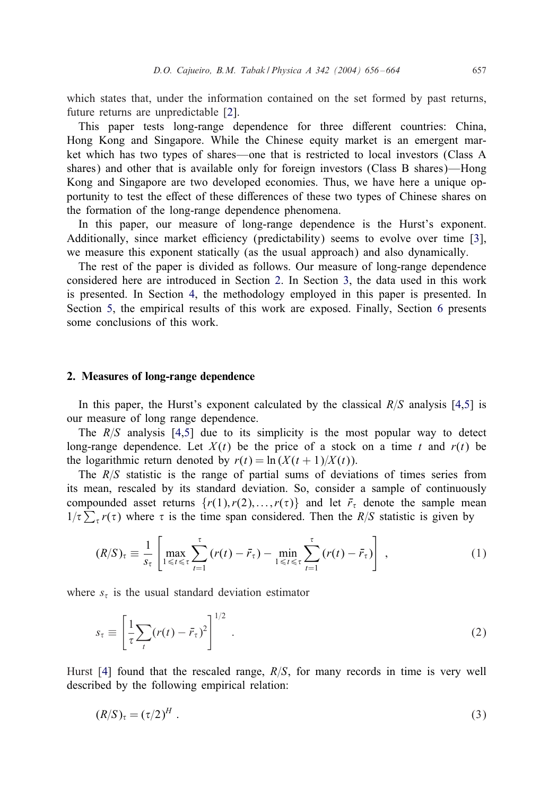which states that, under the information contained on the set formed by past returns, future returns are unpredictable [\[2\]](#page--1-0).

This paper tests long-range dependence for three diFerent countries: China, Hong Kong and Singapore. While the Chinese equity market is an emergent market which has two types of shares—one that is restricted to local investors (Class A shares) and other that is available only for foreign investors (Class B shares)—Hong Kong and Singapore are two developed economies. Thus, we have here a unique opportunity to test the effect of these differences of these two types of Chinese shares on the formation of the long-range dependence phenomena.

In this paper, our measure of long-range dependence is the Hurst's exponent. Additionally, since market efficiency (predictability) seems to evolve over time [\[3\]](#page--1-0), we measure this exponent statically (as the usual approach) and also dynamically.

The rest of the paper is divided as follows. Our measure of long-range dependence considered here are introduced in Section 2. In Section [3,](#page--1-0) the data used in this work is presented. In Section [4,](#page--1-0) the methodology employed in this paper is presented. In Section  $5$ , the empirical results of this work are exposed. Finally, Section  $6$  presents some conclusions of this work.

#### 2. Measures of long-range dependence

In this paper, the Hurst's exponent calculated by the classical  $R/S$  analysis [\[4,5\]](#page--1-0) is our measure of long range dependence.

The  $R/S$  analysis [\[4,5\]](#page--1-0) due to its simplicity is the most popular way to detect long-range dependence. Let  $X(t)$  be the price of a stock on a time t and  $r(t)$  be the logarithmic return denoted by  $r(t) = \ln(X(t+1)/X(t))$ .

The  $R/S$  statistic is the range of partial sums of deviations of times series from its mean, rescaled by its standard deviation. So, consider a sample of continuously compounded asset returns  $\{r(1), r(2), \ldots, r(\tau)\}$  and let  $\bar{r}_{\tau}$  denote the sample mean  $1/\tau \sum_{\tau} r(\tau)$  where  $\tau$  is the time span considered. Then the R/S statistic is given by

$$
(R/S)_{\tau} \equiv \frac{1}{s_{\tau}} \left[ \max_{1 \leq t \leq \tau} \sum_{t=1}^{\tau} \left( r(t) - \bar{r}_{\tau} \right) - \min_{1 \leq t \leq \tau} \sum_{t=1}^{\tau} \left( r(t) - \bar{r}_{\tau} \right) \right], \tag{1}
$$

where  $s<sub>\tau</sub>$  is the usual standard deviation estimator

$$
s_{\tau} \equiv \left[\frac{1}{\tau} \sum_{t} (r(t) - \bar{r}_{\tau})^2\right]^{1/2} . \tag{2}
$$

Hurst [\[4\]](#page--1-0) found that the rescaled range,  $R/S$ , for many records in time is very well described by the following empirical relation:

$$
(R/S)_\tau = (\tau/2)^H \tag{3}
$$